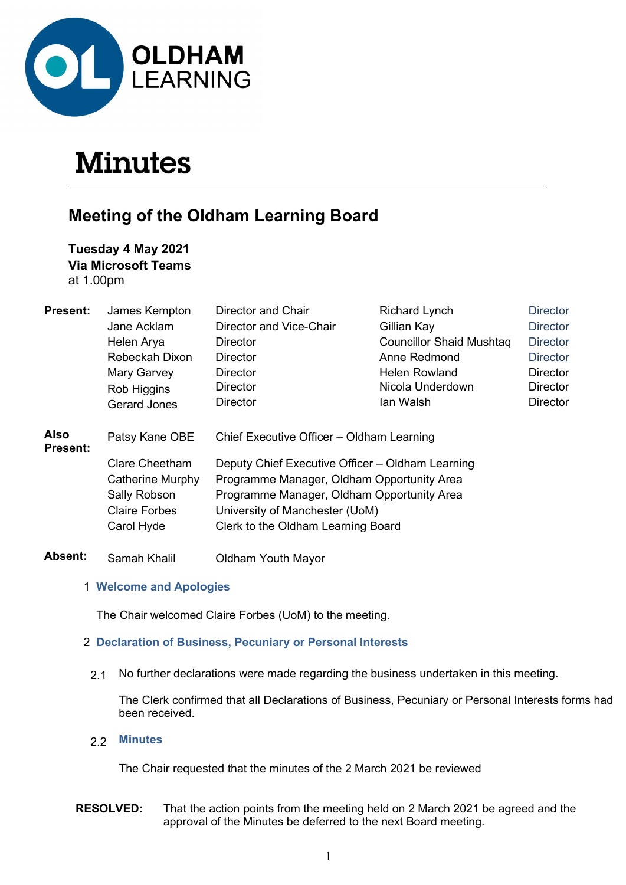

# **Minutes**

# Meeting of the Oldham Learning Board

# Tuesday 4 May 2021 Via Microsoft Teams

at 1.00pm

| <b>Present:</b>         | James Kempton         | Director and Chair                               | <b>Richard Lynch</b>            | <b>Director</b> |  |
|-------------------------|-----------------------|--------------------------------------------------|---------------------------------|-----------------|--|
|                         | Jane Acklam           | Director and Vice-Chair                          | Gillian Kay                     | <b>Director</b> |  |
|                         | Helen Arya            | Director                                         | <b>Councillor Shaid Mushtag</b> | <b>Director</b> |  |
|                         | Rebeckah Dixon        | <b>Director</b>                                  | Anne Redmond                    | <b>Director</b> |  |
|                         | Mary Garvey           | Director                                         | Helen Rowland                   | <b>Director</b> |  |
|                         | Rob Higgins           | <b>Director</b>                                  | Nicola Underdown                | Director        |  |
|                         | <b>Gerard Jones</b>   | <b>Director</b>                                  | lan Walsh                       | <b>Director</b> |  |
| Also<br><b>Present:</b> | Patsy Kane OBE        | Chief Executive Officer - Oldham Learning        |                                 |                 |  |
|                         | <b>Clare Cheetham</b> | Deputy Chief Executive Officer - Oldham Learning |                                 |                 |  |
|                         | Catherine Murphy      | Programme Manager, Oldham Opportunity Area       |                                 |                 |  |
|                         | Sally Robson          | Programme Manager, Oldham Opportunity Area       |                                 |                 |  |
|                         | <b>Claire Forbes</b>  | University of Manchester (UoM)                   |                                 |                 |  |
|                         | Carol Hyde            | Clerk to the Oldham Learning Board               |                                 |                 |  |
| <b>Absent:</b>          | Samah Khalil          | <b>Oldham Youth Mayor</b>                        |                                 |                 |  |

#### 1 Welcome and Apologies

The Chair welcomed Claire Forbes (UoM) to the meeting.

# 2 Declaration of Business, Pecuniary or Personal Interests

2.1 No further declarations were made regarding the business undertaken in this meeting.

The Clerk confirmed that all Declarations of Business, Pecuniary or Personal Interests forms had been received.

2.2 Minutes

The Chair requested that the minutes of the 2 March 2021 be reviewed

RESOLVED: That the action points from the meeting held on 2 March 2021 be agreed and the approval of the Minutes be deferred to the next Board meeting.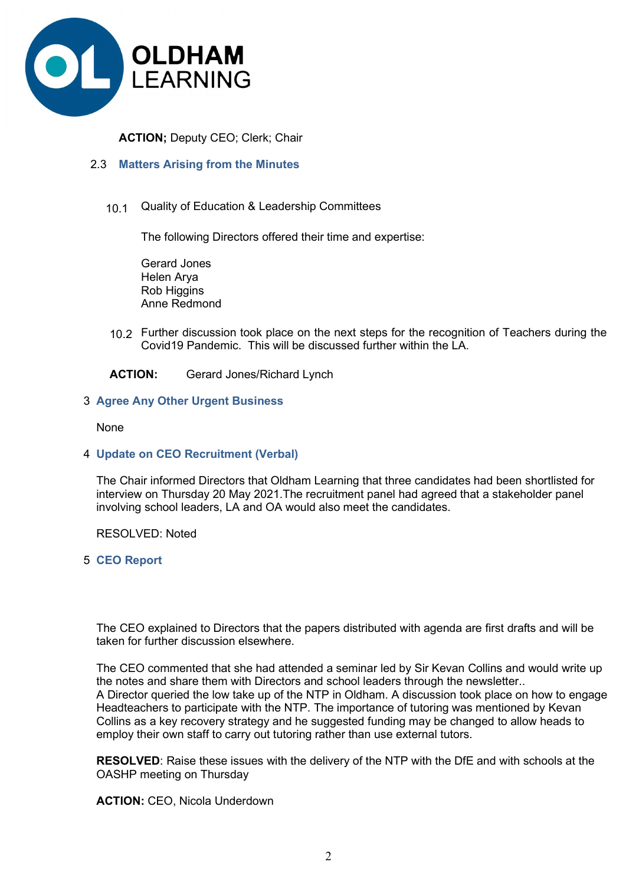

ACTION; Deputy CEO; Clerk; Chair

#### 2.3 Matters Arising from the Minutes

10.1 Quality of Education & Leadership Committees

The following Directors offered their time and expertise:

Gerard Jones Helen Arya Rob Higgins Anne Redmond

10.2 Further discussion took place on the next steps for the recognition of Teachers during the Covid19 Pandemic. This will be discussed further within the LA.

ACTION: Gerard Jones/Richard Lynch

#### 3 Agree Any Other Urgent Business

None

4 Update on CEO Recruitment (Verbal)

 The Chair informed Directors that Oldham Learning that three candidates had been shortlisted for interview on Thursday 20 May 2021.The recruitment panel had agreed that a stakeholder panel involving school leaders, LA and OA would also meet the candidates.

RESOLVED: Noted

5 CEO Report

 The CEO explained to Directors that the papers distributed with agenda are first drafts and will be taken for further discussion elsewhere.

The CEO commented that she had attended a seminar led by Sir Kevan Collins and would write up the notes and share them with Directors and school leaders through the newsletter.. A Director queried the low take up of the NTP in Oldham. A discussion took place on how to engage Headteachers to participate with the NTP. The importance of tutoring was mentioned by Kevan Collins as a key recovery strategy and he suggested funding may be changed to allow heads to employ their own staff to carry out tutoring rather than use external tutors.

RESOLVED: Raise these issues with the delivery of the NTP with the DfE and with schools at the OASHP meeting on Thursday

ACTION: CEO, Nicola Underdown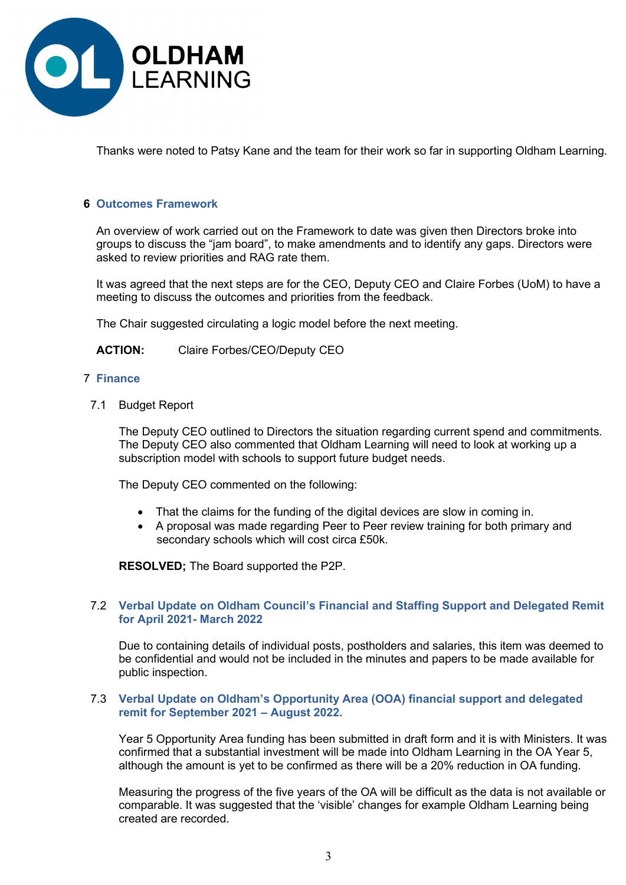

Thanks were noted to Patsy Kane and the team for their work so far in supporting Oldham Learning.

#### 6 Outcomes Framework

 An overview of work carried out on the Framework to date was given then Directors broke into groups to discuss the "jam board", to make amendments and to identify any gaps. Directors were asked to review priorities and RAG rate them.

It was agreed that the next steps are for the CEO, Deputy CEO and Claire Forbes (UoM) to have a meeting to discuss the outcomes and priorities from the feedback.

The Chair suggested circulating a logic model before the next meeting.

ACTION: Claire Forbes/CEO/Deputy CEO

#### 7 Finance

7.1 Budget Report

The Deputy CEO outlined to Directors the situation regarding current spend and commitments. The Deputy CEO also commented that Oldham Learning will need to look at working up a subscription model with schools to support future budget needs.

The Deputy CEO commented on the following:

- That the claims for the funding of the digital devices are slow in coming in.
- A proposal was made regarding Peer to Peer review training for both primary and secondary schools which will cost circa £50k.

RESOLVED; The Board supported the P2P.

#### 7.2 Verbal Update on Oldham Council's Financial and Staffing Support and Delegated Remit for April 2021- March 2022

Due to containing details of individual posts, postholders and salaries, this item was deemed to be confidential and would not be included in the minutes and papers to be made available for public inspection.

#### 7.3 Verbal Update on Oldham's Opportunity Area (OOA) financial support and delegated remit for September 2021 – August 2022.

Year 5 Opportunity Area funding has been submitted in draft form and it is with Ministers. It was confirmed that a substantial investment will be made into Oldham Learning in the OA Year 5, although the amount is yet to be confirmed as there will be a 20% reduction in OA funding.

Measuring the progress of the five years of the OA will be difficult as the data is not available or comparable. It was suggested that the 'visible' changes for example Oldham Learning being created are recorded.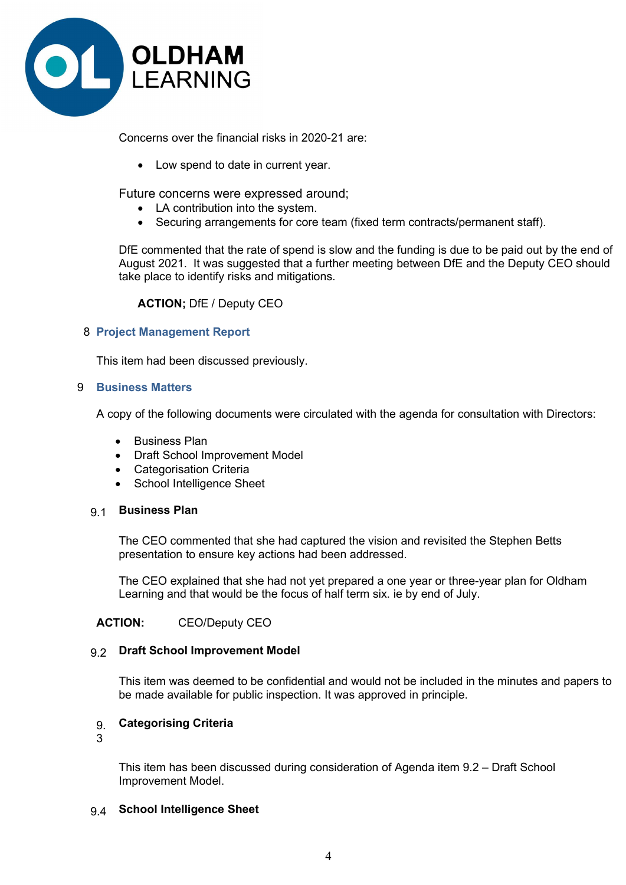

Concerns over the financial risks in 2020-21 are:

• Low spend to date in current year.

Future concerns were expressed around;

- LA contribution into the system.
- Securing arrangements for core team (fixed term contracts/permanent staff).

DfE commented that the rate of spend is slow and the funding is due to be paid out by the end of August 2021. It was suggested that a further meeting between DfE and the Deputy CEO should take place to identify risks and mitigations.

ACTION; DfE / Deputy CEO

#### 8 Project Management Report

This item had been discussed previously.

#### 9 Business Matters

A copy of the following documents were circulated with the agenda for consultation with Directors:

- Business Plan
- Draft School Improvement Model
- Categorisation Criteria
- School Intelligence Sheet

#### 9.1 Business Plan

The CEO commented that she had captured the vision and revisited the Stephen Betts presentation to ensure key actions had been addressed.

The CEO explained that she had not yet prepared a one year or three-year plan for Oldham Learning and that would be the focus of half term six. ie by end of July.

# ACTION: CEO/Deputy CEO

#### 9.2 Draft School Improvement Model

This item was deemed to be confidential and would not be included in the minutes and papers to be made available for public inspection. It was approved in principle.

# 9. Categorising Criteria

3

This item has been discussed during consideration of Agenda item 9.2 – Draft School Improvement Model.

#### 9.4 School Intelligence Sheet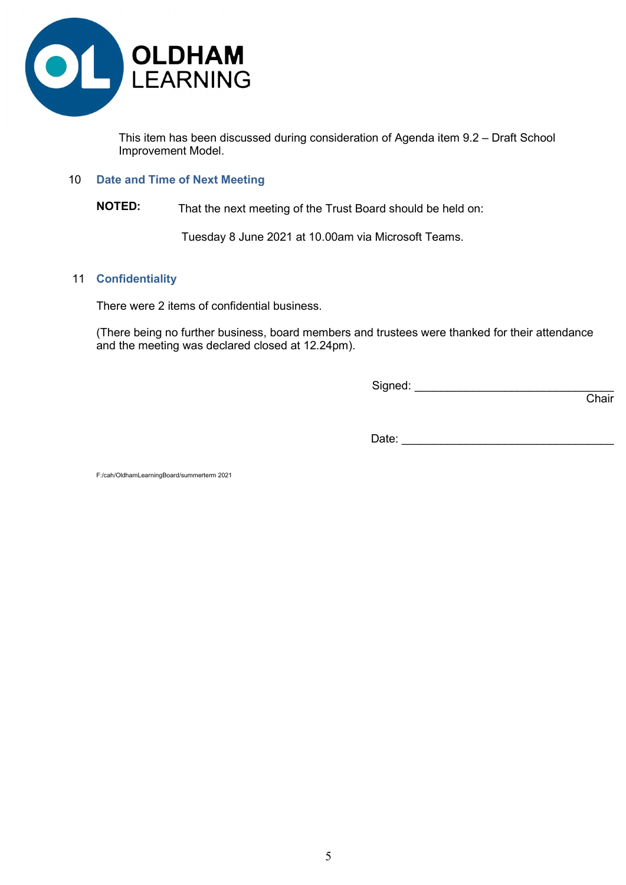

This item has been discussed during consideration of Agenda item 9.2 – Draft School Improvement Model.

#### 10 Date and Time of Next Meeting

# NOTED: That the next meeting of the Trust Board should be held on:

Tuesday 8 June 2021 at 10.00am via Microsoft Teams.

#### 11 Confidentiality

There were 2 items of confidential business.

 (There being no further business, board members and trustees were thanked for their attendance and the meeting was declared closed at 12.24pm).

Signed: \_\_\_\_\_\_\_\_\_\_\_\_\_\_\_\_\_\_\_\_\_\_\_\_\_\_\_\_\_\_\_

and the contract of the contract of the contract of the contract of the contract of the contract of the contract of the contract of the contract of the contract of the contract of the contract of the contract of the contra

Date: \_\_\_\_\_\_\_\_\_\_\_\_\_\_\_\_\_\_\_\_\_\_\_\_\_\_\_\_\_\_\_\_\_

F:/cah/OldhamLearningBoard/summerterm 2021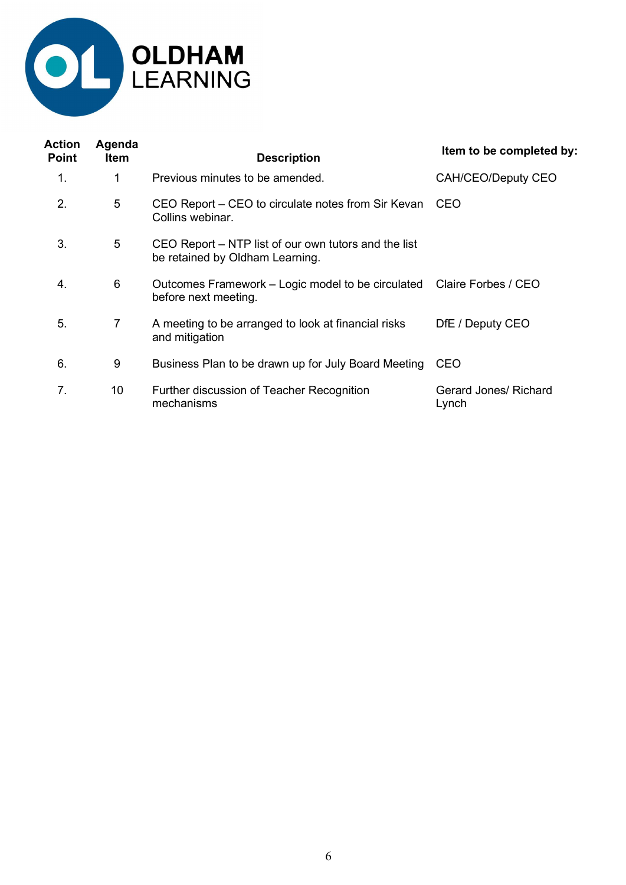

| Action<br><b>Point</b> | Agenda<br><b>Item</b> | <b>Description</b>                                                                             | Item to be completed by:              |
|------------------------|-----------------------|------------------------------------------------------------------------------------------------|---------------------------------------|
| 1.                     | 1                     | Previous minutes to be amended.                                                                | CAH/CEO/Deputy CEO                    |
| 2.                     | 5                     | CEO Report - CEO to circulate notes from Sir Kevan<br>Collins webinar.                         | <b>CEO</b>                            |
| 3.                     | 5                     | CEO Report – NTP list of our own tutors and the list<br>be retained by Oldham Learning.        |                                       |
| 4.                     | 6                     | Outcomes Framework - Logic model to be circulated  Claire Forbes / CEO<br>before next meeting. |                                       |
| 5.                     | $\overline{7}$        | A meeting to be arranged to look at financial risks<br>and mitigation                          | DfE / Deputy CEO                      |
| 6.                     | 9                     | Business Plan to be drawn up for July Board Meeting                                            | <b>CEO</b>                            |
| 7.                     | 10                    | Further discussion of Teacher Recognition<br>mechanisms                                        | <b>Gerard Jones/ Richard</b><br>Lynch |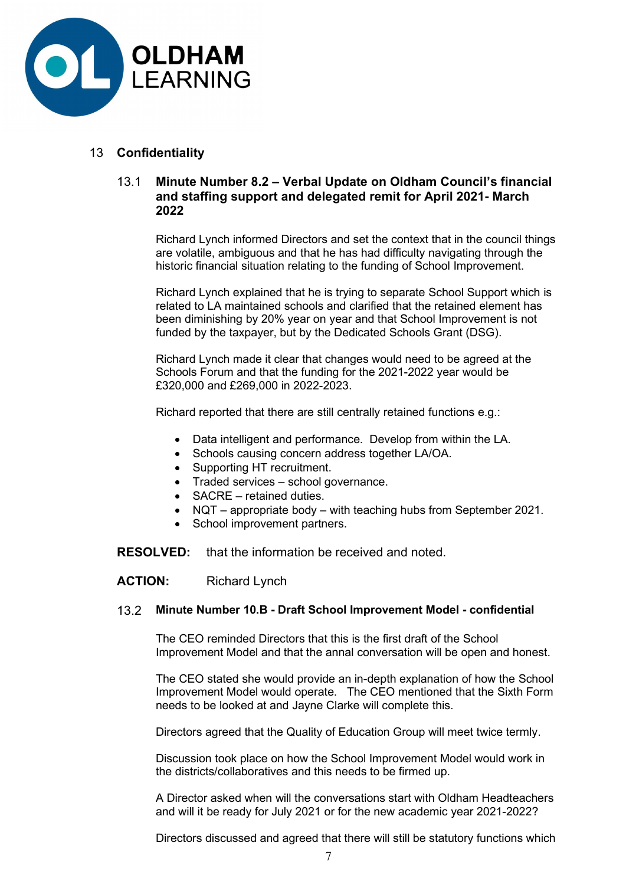

# 13 Confidentiality

# 13.1 Minute Number 8.2 – Verbal Update on Oldham Council's financial and staffing support and delegated remit for April 2021- March 2022

 Richard Lynch informed Directors and set the context that in the council things are volatile, ambiguous and that he has had difficulty navigating through the historic financial situation relating to the funding of School Improvement.

Richard Lynch explained that he is trying to separate School Support which is related to LA maintained schools and clarified that the retained element has been diminishing by 20% year on year and that School Improvement is not funded by the taxpayer, but by the Dedicated Schools Grant (DSG).

Richard Lynch made it clear that changes would need to be agreed at the Schools Forum and that the funding for the 2021-2022 year would be £320,000 and £269,000 in 2022-2023.

Richard reported that there are still centrally retained functions e.g.:

- Data intelligent and performance. Develop from within the LA.
- Schools causing concern address together LA/OA.
- Supporting HT recruitment.
- Traded services school governance.
- SACRE retained duties.
- NQT appropriate body with teaching hubs from September 2021.
- School improvement partners.

RESOLVED: that the information be received and noted.

ACTION: Richard Lynch

#### 13.2 Minute Number 10.B - Draft School Improvement Model - confidential

 The CEO reminded Directors that this is the first draft of the School Improvement Model and that the annal conversation will be open and honest.

The CEO stated she would provide an in-depth explanation of how the School Improvement Model would operate. The CEO mentioned that the Sixth Form needs to be looked at and Jayne Clarke will complete this.

Directors agreed that the Quality of Education Group will meet twice termly.

Discussion took place on how the School Improvement Model would work in the districts/collaboratives and this needs to be firmed up.

A Director asked when will the conversations start with Oldham Headteachers and will it be ready for July 2021 or for the new academic year 2021-2022?

Directors discussed and agreed that there will still be statutory functions which